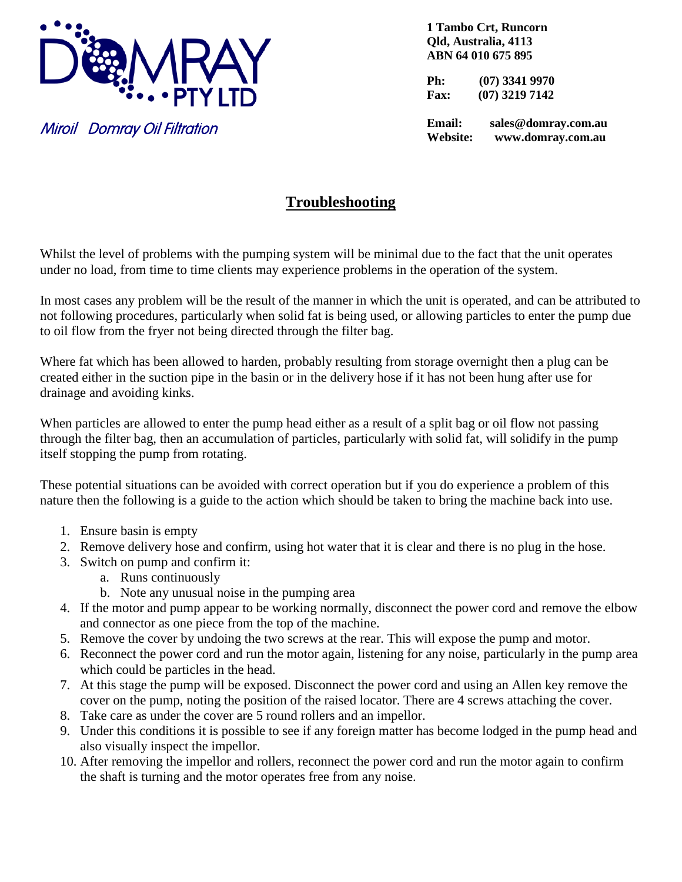

Miroil Domray Oil Filtration

**1 Tambo Crt, Runcorn Qld, Australia, 4113 ABN 64 010 675 895**

**Ph: (07) 3341 9970 Fax: (07) 3219 7142**

**Email: sales@domray.com.au Website: www.domray.com.au**

## **Troubleshooting**

Whilst the level of problems with the pumping system will be minimal due to the fact that the unit operates under no load, from time to time clients may experience problems in the operation of the system.

In most cases any problem will be the result of the manner in which the unit is operated, and can be attributed to not following procedures, particularly when solid fat is being used, or allowing particles to enter the pump due to oil flow from the fryer not being directed through the filter bag.

Where fat which has been allowed to harden, probably resulting from storage overnight then a plug can be created either in the suction pipe in the basin or in the delivery hose if it has not been hung after use for drainage and avoiding kinks.

When particles are allowed to enter the pump head either as a result of a split bag or oil flow not passing through the filter bag, then an accumulation of particles, particularly with solid fat, will solidify in the pump itself stopping the pump from rotating.

These potential situations can be avoided with correct operation but if you do experience a problem of this nature then the following is a guide to the action which should be taken to bring the machine back into use.

- 1. Ensure basin is empty
- 2. Remove delivery hose and confirm, using hot water that it is clear and there is no plug in the hose.
- 3. Switch on pump and confirm it:
	- a. Runs continuously
	- b. Note any unusual noise in the pumping area
- 4. If the motor and pump appear to be working normally, disconnect the power cord and remove the elbow and connector as one piece from the top of the machine.
- 5. Remove the cover by undoing the two screws at the rear. This will expose the pump and motor.
- 6. Reconnect the power cord and run the motor again, listening for any noise, particularly in the pump area which could be particles in the head.
- 7. At this stage the pump will be exposed. Disconnect the power cord and using an Allen key remove the cover on the pump, noting the position of the raised locator. There are 4 screws attaching the cover.
- 8. Take care as under the cover are 5 round rollers and an impellor.
- 9. Under this conditions it is possible to see if any foreign matter has become lodged in the pump head and also visually inspect the impellor.
- 10. After removing the impellor and rollers, reconnect the power cord and run the motor again to confirm the shaft is turning and the motor operates free from any noise.